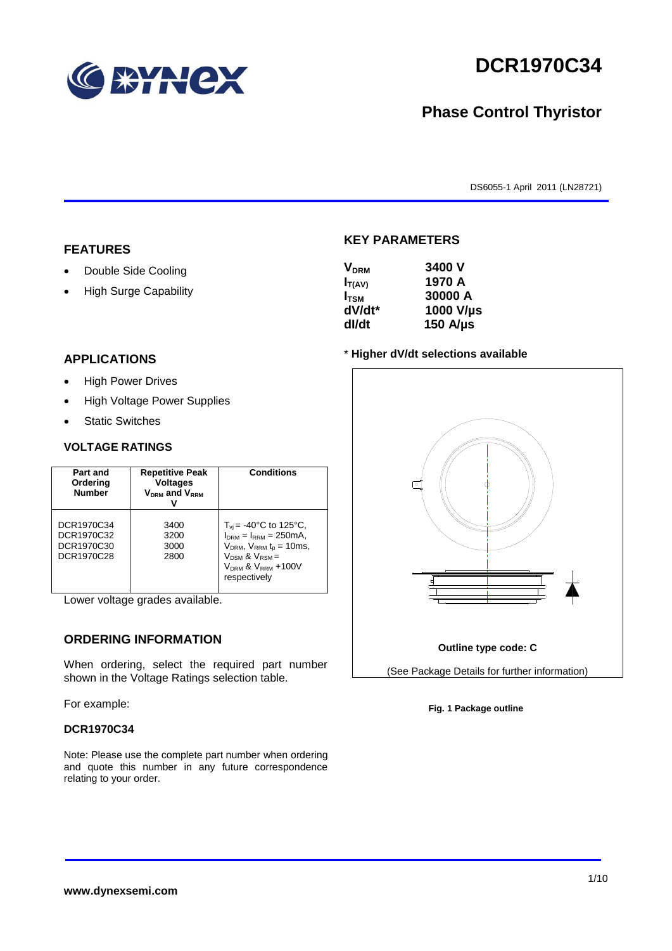

# **DCR1970C34**

## **Phase Control Thyristor**

DS6055-1 April 2011 (LN28721)

#### **FEATURES**

- Double Side Cooling
- High Surge Capability

#### **KEY PARAMETERS**

| 3400 V        |
|---------------|
| 1970 A        |
| 30000 A       |
| 1000 V/µs     |
| 150 $A/\mu s$ |
|               |

#### \* **Higher dV/dt selections available**

### **APPLICATIONS**

- High Power Drives
- High Voltage Power Supplies
- Static Switches

#### **VOLTAGE RATINGS**

| Part and<br>Ordering<br><b>Number</b>                | <b>Repetitive Peak</b><br><b>Voltages</b><br>$V_{DRM}$ and $V_{RRM}$ | <b>Conditions</b>                                                                                                                                                                     |
|------------------------------------------------------|----------------------------------------------------------------------|---------------------------------------------------------------------------------------------------------------------------------------------------------------------------------------|
| DCR1970C34<br>DCR1970C32<br>DCR1970C30<br>DCR1970C28 | 3400<br>3200<br>3000<br>2800                                         | $T_{vi}$ = -40°C to 125°C,<br>$I_{DRM} = I_{RRM} = 250 \text{mA}$ ,<br>$V_{DRM}$ , $V_{RRM}$ $t_p = 10$ ms,<br>$V_{DSM}$ & $V_{RSM}$ =<br>$V_{DRM}$ & $V_{RRM}$ +100V<br>respectively |

Lower voltage grades available.

### **ORDERING INFORMATION**

When ordering, select the required part number shown in the Voltage Ratings selection table.

For example:

#### **DCR1970C34**

Note: Please use the complete part number when ordering and quote this number in any future correspondence relating to your order.



**Fig. 1 Package outline**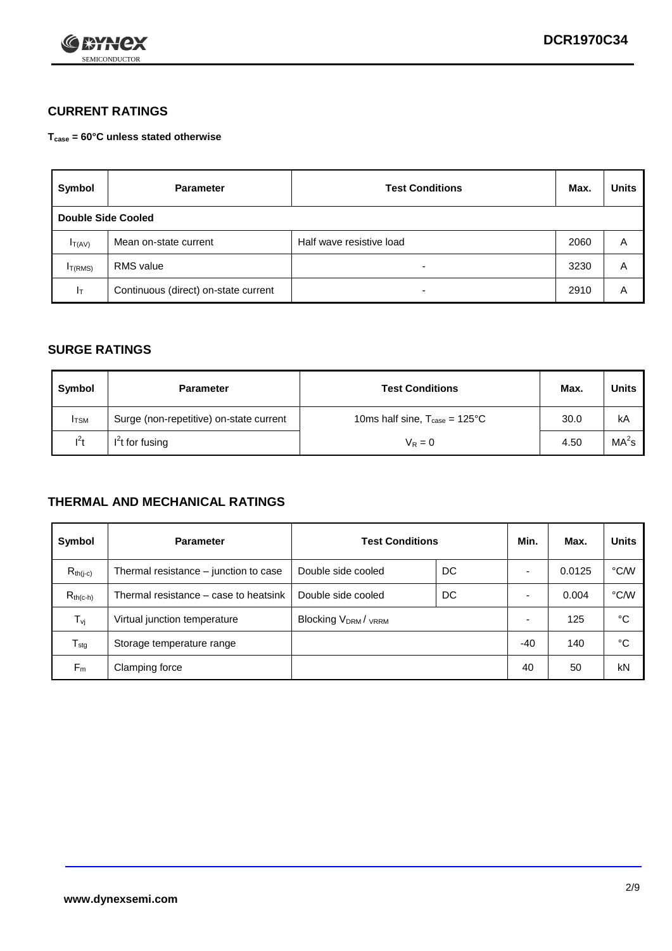

## **CURRENT RATINGS**

**Tcase = 60°C unless stated otherwise**

| Symbol       | <b>Parameter</b>                     | <b>Test Conditions</b>   |      | <b>Units</b> |  |  |
|--------------|--------------------------------------|--------------------------|------|--------------|--|--|
|              | Double Side Cooled                   |                          |      |              |  |  |
| $I_{T(AV)}$  | Mean on-state current                | Half wave resistive load | 2060 | Α            |  |  |
| $I_{T(RMS)}$ | <b>RMS</b> value                     | $\overline{\phantom{0}}$ | 3230 | Α            |  |  |
| Iт           | Continuous (direct) on-state current | $\overline{\phantom{0}}$ | 2910 | Α            |  |  |

#### **SURGE RATINGS**

| Symbol       | <b>Parameter</b>                        | <b>Test Conditions</b>                           | Max. | <b>Units</b>      |
|--------------|-----------------------------------------|--------------------------------------------------|------|-------------------|
| <b>I</b> TSM | Surge (non-repetitive) on-state current | 10ms half sine, $T_{\text{case}} = 125^{\circ}C$ | 30.0 | kA                |
| $l^2t$       | I <sup>2</sup> t for fusing             | $V_R = 0$                                        | 4.50 | MA <sup>2</sup> S |

#### **THERMAL AND MECHANICAL RATINGS**

| Symbol           | <b>Parameter</b>                      | <b>Test Conditions</b>                      |    | Min.                     | Max.   | <b>Units</b> |
|------------------|---------------------------------------|---------------------------------------------|----|--------------------------|--------|--------------|
| $R_{th(j-c)}$    | Thermal resistance – junction to case | Double side cooled                          | DC |                          | 0.0125 | °C/W         |
| $R_{th(c-h)}$    | Thermal resistance – case to heatsink | Double side cooled                          | DC |                          | 0.004  | °C/W         |
| $T_{\nu j}$      | Virtual junction temperature          | Blocking V <sub>DRM</sub> / <sub>VRRM</sub> |    | $\overline{\phantom{0}}$ | 125    | °C           |
| $T_{\text{stg}}$ | Storage temperature range             |                                             |    | -40                      | 140    | °C           |
| $F_m$            | Clamping force                        |                                             |    | 40                       | 50     | kN           |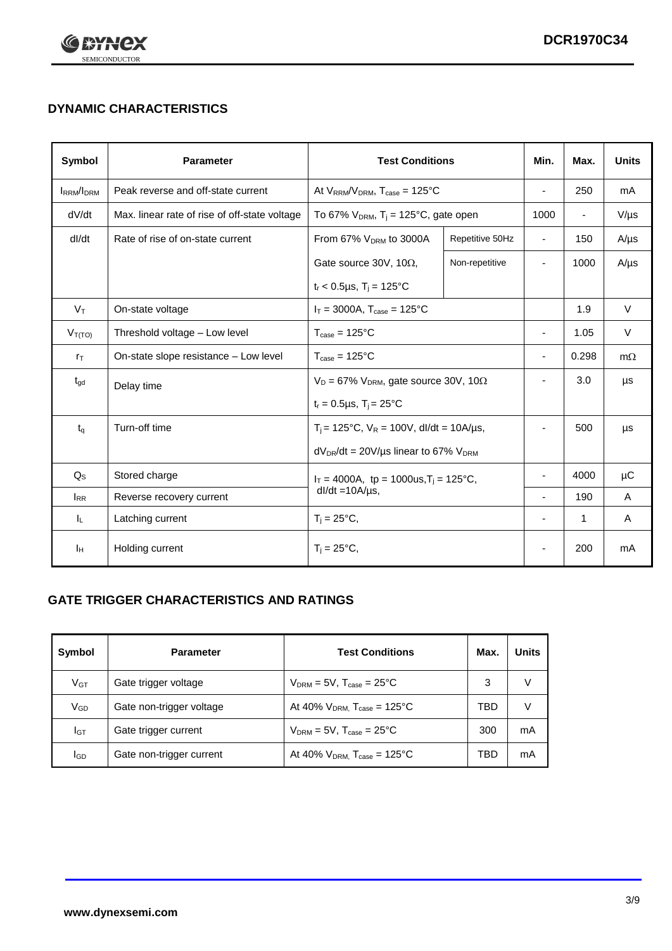

## **DYNAMIC CHARACTERISTICS**

| <b>Symbol</b>     | <b>Parameter</b>                              | <b>Test Conditions</b>                                                        | Min.                                                 | Max.                     | <b>Units</b>             |           |
|-------------------|-----------------------------------------------|-------------------------------------------------------------------------------|------------------------------------------------------|--------------------------|--------------------------|-----------|
| <b>IRRM</b> /IDRM | Peak reverse and off-state current            |                                                                               | At $V_{RRM}/V_{DRM}$ , $T_{case} = 125^{\circ}C$     |                          | 250                      | mA        |
| dV/dt             | Max. linear rate of rise of off-state voltage |                                                                               | To 67% $V_{DRM}$ , T <sub>i</sub> = 125°C, gate open |                          | $\overline{\phantom{a}}$ | $V/\mu s$ |
| dl/dt             | Rate of rise of on-state current              | From 67% $V_{DRM}$ to 3000A                                                   | Repetitive 50Hz                                      | $\overline{\phantom{a}}$ | 150                      | $A/\mu s$ |
|                   |                                               | Gate source 30V, 10 $\Omega$ ,                                                | Non-repetitive                                       | ٠                        | 1000                     | $A/\mu s$ |
|                   |                                               | $t_r$ < 0.5µs, $T_i$ = 125°C                                                  |                                                      |                          |                          |           |
| $V_T$             | On-state voltage                              | $I_T = 3000A$ , $T_{case} = 125^{\circ}C$                                     |                                                      |                          | 1.9                      | $\vee$    |
| $V_{T(TO)}$       | Threshold voltage - Low level                 | $T_{\text{case}} = 125^{\circ}C$                                              |                                                      | ٠                        | 1.05                     | $\vee$    |
| $r_{\text{T}}$    | On-state slope resistance - Low level         | $T_{\text{case}} = 125^{\circ}C$                                              |                                                      | $\overline{\phantom{a}}$ | 0.298                    | $m\Omega$ |
| $t_{\rm gd}$      | Delay time                                    | $V_D = 67\%$ V <sub>DRM</sub> , gate source 30V, 10 $\Omega$                  |                                                      | ٠                        | 3.0                      | μs        |
|                   |                                               | $t_r = 0.5 \mu s$ , $T_i = 25^{\circ}C$                                       |                                                      |                          |                          |           |
| $t_{q}$           | Turn-off time                                 | $T_i$ = 125°C, $V_R$ = 100V, dl/dt = 10A/µs,                                  |                                                      | ä,                       | 500                      | μs        |
|                   |                                               | $dV_{DR}/dt = 20V/\mu s$ linear to 67% $V_{DRM}$                              |                                                      |                          |                          |           |
| $Q_{\rm S}$       | Stored charge                                 | $I_T = 4000A$ , tp = 1000us, T <sub>i</sub> = 125°C,<br>$dl/dt = 10A/\mu s$ , |                                                      |                          | 4000                     | $\mu$ C   |
| $I_{RR}$          | Reverse recovery current                      |                                                                               |                                                      |                          | 190                      | A         |
| IL.               | Latching current                              | $T_i = 25^{\circ}C,$                                                          |                                                      | -                        | 1                        | Α         |
| Iн                | Holding current                               | $T_i = 25^{\circ}C,$                                                          |                                                      |                          | 200                      | mA        |

## **GATE TRIGGER CHARACTERISTICS AND RATINGS**

| Symbol          | <b>Parameter</b>         | <b>Test Conditions</b>                       | Max. | <b>Units</b> |
|-----------------|--------------------------|----------------------------------------------|------|--------------|
| V <sub>GT</sub> | Gate trigger voltage     | $V_{DRM} = 5V$ , $T_{case} = 25^{\circ}C$    | 3    | V            |
| $\rm V_{GD}$    | Gate non-trigger voltage | At 40% $V_{DRM}$ , $T_{case} = 125^{\circ}C$ | TBD  | V            |
| Iст             | Gate trigger current     | $V_{DRM} = 5V$ , $T_{case} = 25^{\circ}C$    | 300  | mA           |
| lgp             | Gate non-trigger current | At 40% $V_{DRM}$ , $T_{case} = 125^{\circ}C$ | TBD  | mA           |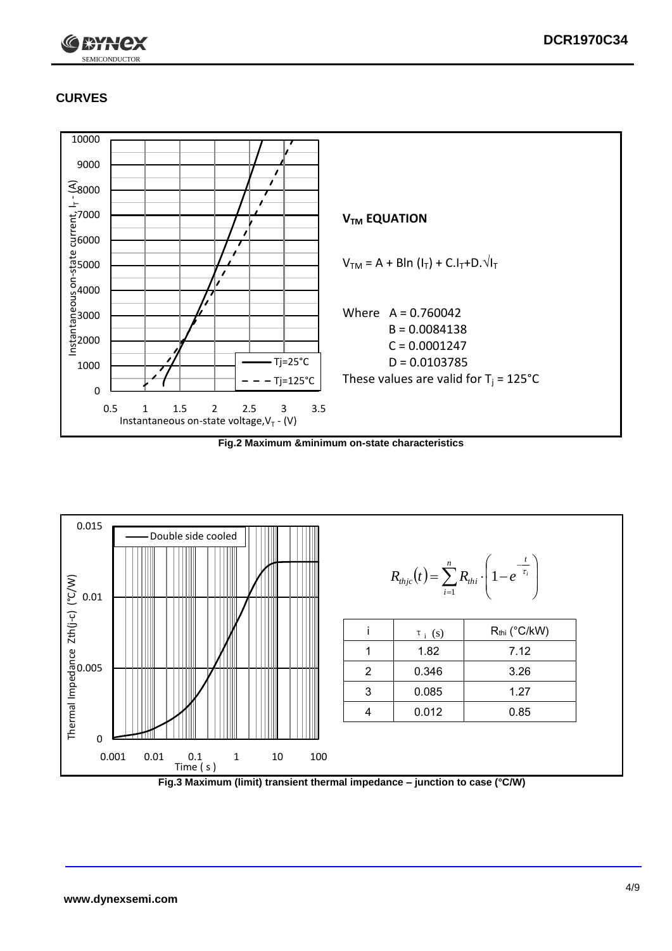

## **CURVES**



**Fig.2 Maximum &minimum on-state characteristics**



**Fig.3 Maximum (limit) transient thermal impedance – junction to case (°C/W)**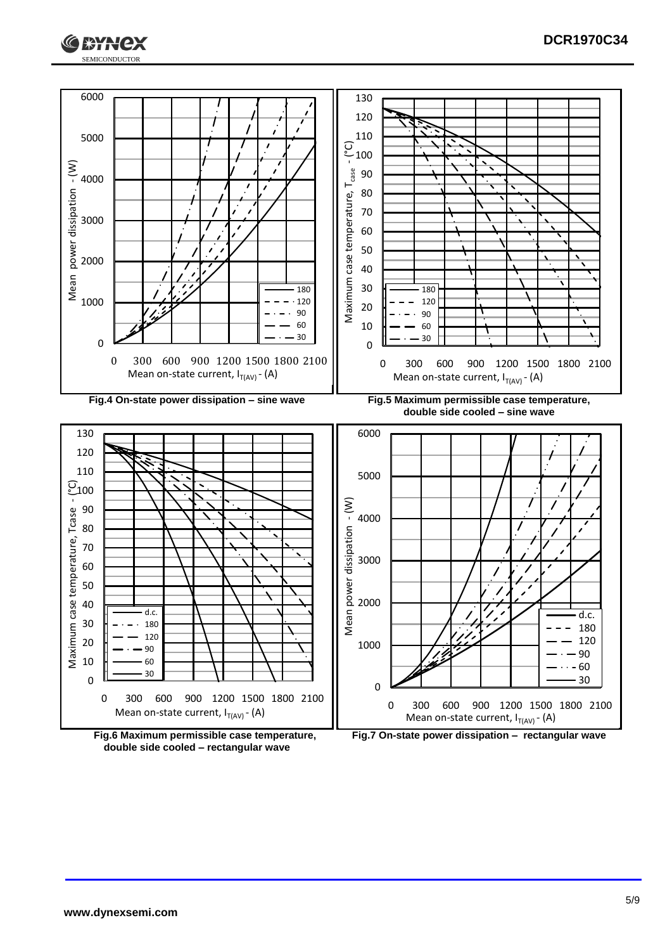



**double side cooled – rectangular wave**

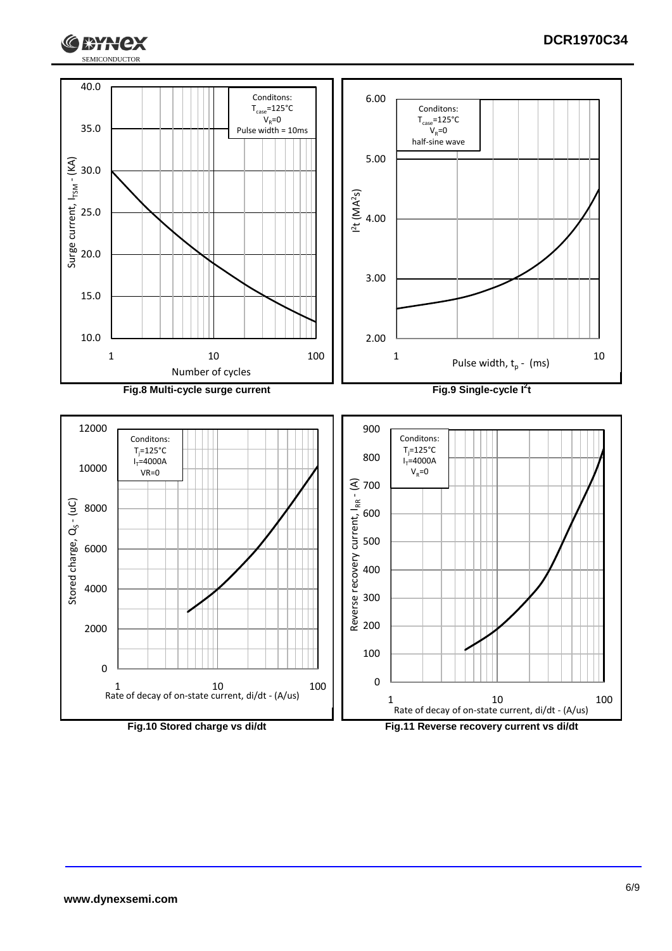



**RYNCX**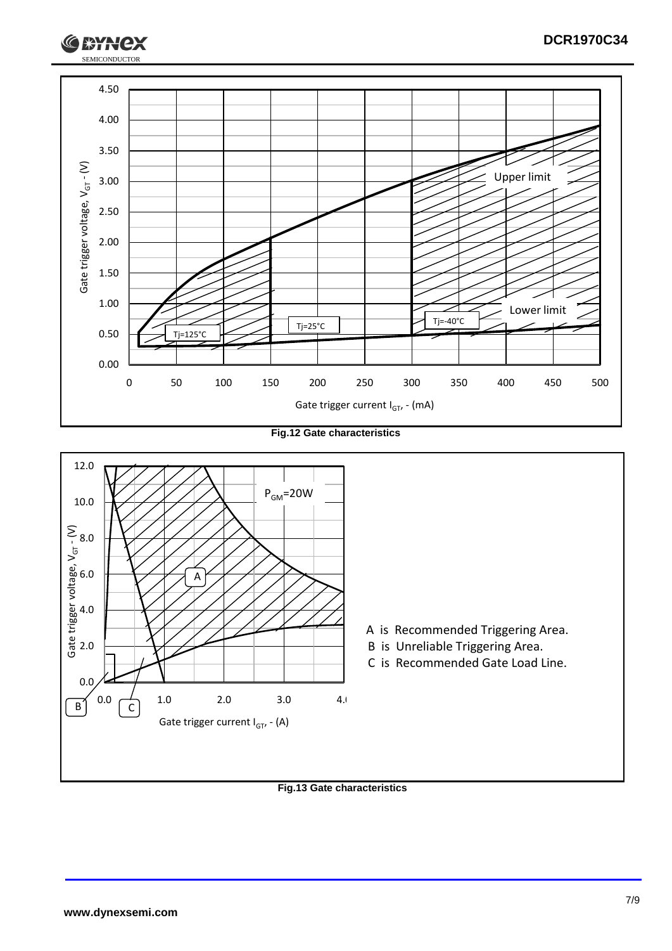

**Fig.12 Gate characteristics**



**Fig.13 Gate characteristics**

SEMICONDUCTOR

**RYH**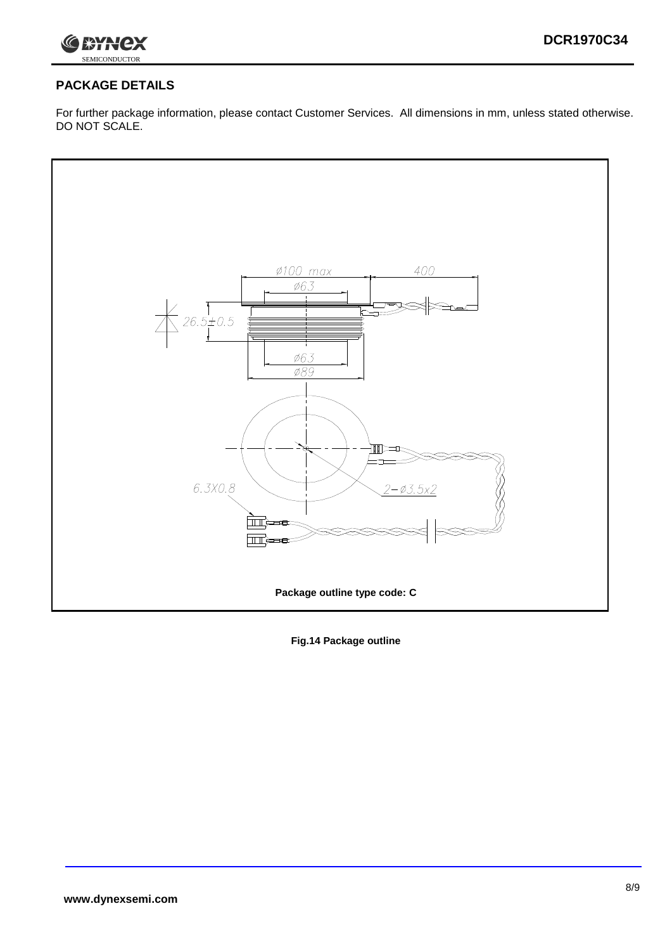

### **PACKAGE DETAILS**

For further package information, please contact Customer Services. All dimensions in mm, unless stated otherwise. DO NOT SCALE.



**Fig.14 Package outline**